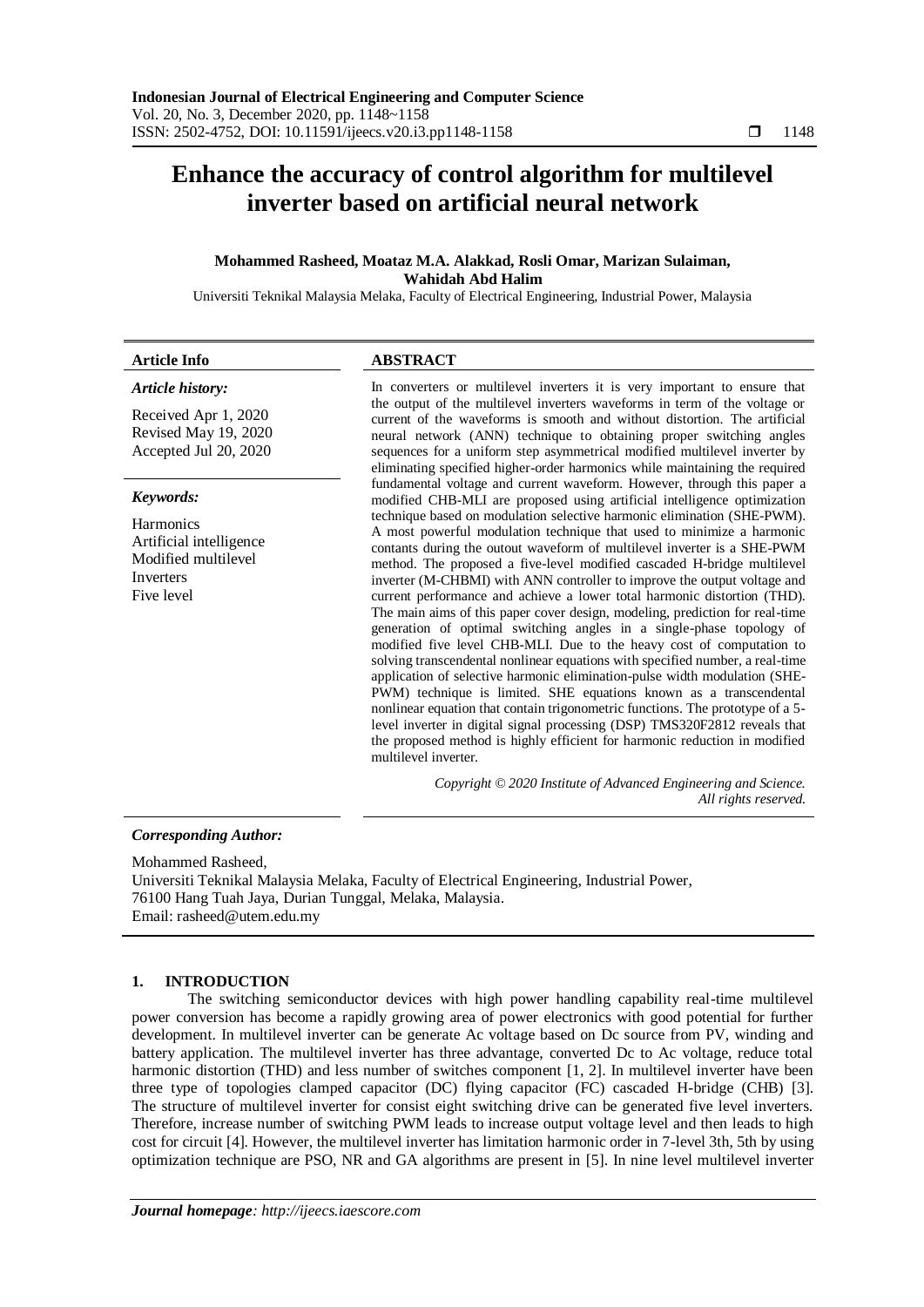# **Enhance the accuracy of control algorithm for multilevel inverter based on artificial neural network**

## **Mohammed Rasheed, Moataz M.A. Alakkad, Rosli Omar, Marizan Sulaiman, Wahidah Abd Halim**

Universiti Teknikal Malaysia Melaka, Faculty of Electrical Engineering, Industrial Power, Malaysia

| <b>Article Info</b>                                                                           | <b>ABSTRACT</b>                                                                                                                                                                                                                                                                                                                                                                                                                                                                                                                                                                                                                                                                                                                                                                                                                                                                                                                                                                                                                                                                                                                                                                                                                                                                                                                                                                                                                                                                                                                                                                                                                                                                                                                                                                                                                             |
|-----------------------------------------------------------------------------------------------|---------------------------------------------------------------------------------------------------------------------------------------------------------------------------------------------------------------------------------------------------------------------------------------------------------------------------------------------------------------------------------------------------------------------------------------------------------------------------------------------------------------------------------------------------------------------------------------------------------------------------------------------------------------------------------------------------------------------------------------------------------------------------------------------------------------------------------------------------------------------------------------------------------------------------------------------------------------------------------------------------------------------------------------------------------------------------------------------------------------------------------------------------------------------------------------------------------------------------------------------------------------------------------------------------------------------------------------------------------------------------------------------------------------------------------------------------------------------------------------------------------------------------------------------------------------------------------------------------------------------------------------------------------------------------------------------------------------------------------------------------------------------------------------------------------------------------------------------|
| Article history:                                                                              | In converters or multilevel inverters it is very important to ensure that<br>the output of the multilevel inverters waveforms in term of the voltage or<br>current of the waveforms is smooth and without distortion. The artificial<br>neural network (ANN) technique to obtaining proper switching angles<br>sequences for a uniform step asymmetrical modified multilevel inverter by<br>eliminating specified higher-order harmonics while maintaining the required<br>fundamental voltage and current waveform. However, through this paper a<br>modified CHB-MLI are proposed using artificial intelligence optimization<br>technique based on modulation selective harmonic elimination (SHE-PWM).<br>A most powerful modulation technique that used to minimize a harmonic<br>contants during the outout waveform of multilevel inverter is a SHE-PWM<br>method. The proposed a five-level modified cascaded H-bridge multilevel<br>inverter (M-CHBMI) with ANN controller to improve the output voltage and<br>current performance and achieve a lower total harmonic distortion (THD).<br>The main aims of this paper cover design, modeling, prediction for real-time<br>generation of optimal switching angles in a single-phase topology of<br>modified five level CHB-MLI. Due to the heavy cost of computation to<br>solving transcendental nonlinear equations with specified number, a real-time<br>application of selective harmonic elimination-pulse width modulation (SHE-<br>PWM) technique is limited. SHE equations known as a transcendental<br>nonlinear equation that contain trigonometric functions. The prototype of a 5-<br>level inverter in digital signal processing (DSP) TMS320F2812 reveals that<br>the proposed method is highly efficient for harmonic reduction in modified<br>multilevel inverter. |
| Received Apr 1, 2020<br>Revised May 19, 2020<br>Accepted Jul 20, 2020                         |                                                                                                                                                                                                                                                                                                                                                                                                                                                                                                                                                                                                                                                                                                                                                                                                                                                                                                                                                                                                                                                                                                                                                                                                                                                                                                                                                                                                                                                                                                                                                                                                                                                                                                                                                                                                                                             |
| Keywords:                                                                                     |                                                                                                                                                                                                                                                                                                                                                                                                                                                                                                                                                                                                                                                                                                                                                                                                                                                                                                                                                                                                                                                                                                                                                                                                                                                                                                                                                                                                                                                                                                                                                                                                                                                                                                                                                                                                                                             |
| <b>Harmonics</b><br>Artificial intelligence<br>Modified multilevel<br>Inverters<br>Five level |                                                                                                                                                                                                                                                                                                                                                                                                                                                                                                                                                                                                                                                                                                                                                                                                                                                                                                                                                                                                                                                                                                                                                                                                                                                                                                                                                                                                                                                                                                                                                                                                                                                                                                                                                                                                                                             |
|                                                                                               | Copyright © 2020 Institute of Advanced Engineering and Science.<br>All rights reserved.                                                                                                                                                                                                                                                                                                                                                                                                                                                                                                                                                                                                                                                                                                                                                                                                                                                                                                                                                                                                                                                                                                                                                                                                                                                                                                                                                                                                                                                                                                                                                                                                                                                                                                                                                     |

## *Corresponding Author:*

Mohammed Rasheed, Universiti Teknikal Malaysia Melaka, Faculty of Electrical Engineering, Industrial Power, 76100 Hang Tuah Jaya, Durian Tunggal, Melaka, Malaysia. Email: rasheed@utem.edu.my

## **1. INTRODUCTION**

The switching semiconductor devices with high power handling capability real-time multilevel power conversion has become a rapidly growing area of power electronics with good potential for further development. In multilevel inverter can be generate Ac voltage based on Dc source from PV, winding and battery application. The multilevel inverter has three advantage, converted Dc to Ac voltage, reduce total harmonic distortion (THD) and less number of switches component [1, 2]. In multilevel inverter have been three type of topologies clamped capacitor (DC) flying capacitor (FC) cascaded H-bridge (CHB) [3]. The structure of multilevel inverter for consist eight switching drive can be generated five level inverters. Therefore, increase number of switching PWM leads to increase output voltage level and then leads to high cost for circuit [4]. However, the multilevel inverter has limitation harmonic order in 7-level 3th, 5th by using optimization technique are PSO, NR and GA algorithms are present in [5]. In nine level multilevel inverter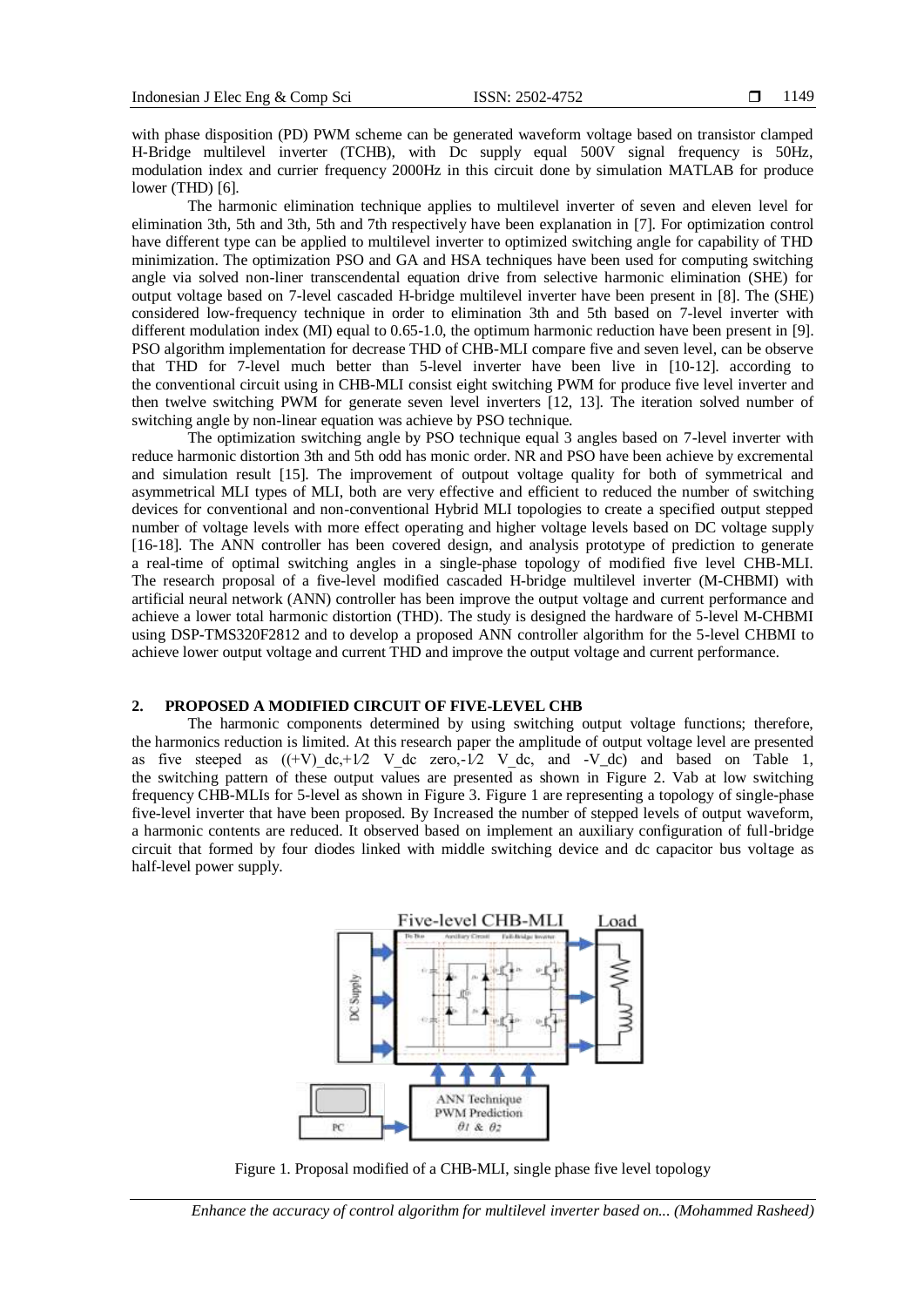with phase disposition (PD) PWM scheme can be generated waveform voltage based on transistor clamped H-Bridge multilevel inverter (TCHB), with Dc supply equal 500V signal frequency is 50Hz, modulation index and currier frequency 2000Hz in this circuit done by simulation MATLAB for produce lower (THD) [6].

The harmonic elimination technique applies to multilevel inverter of seven and eleven level for elimination 3th, 5th and 3th, 5th and 7th respectively have been explanation in [7]. For optimization control have different type can be applied to multilevel inverter to optimized switching angle for capability of THD minimization. The optimization PSO and GA and HSA techniques have been used for computing switching angle via solved non-liner transcendental equation drive from selective harmonic elimination (SHE) for output voltage based on 7-level cascaded H-bridge multilevel inverter have been present in [8]. The (SHE) considered low-frequency technique in order to elimination 3th and 5th based on 7-level inverter with different modulation index (MI) equal to 0.65-1.0, the optimum harmonic reduction have been present in [9]. PSO algorithm implementation for decrease THD of CHB-MLI compare five and seven level, can be observe that THD for 7-level much better than 5-level inverter have been live in [10-12]. according to the conventional circuit using in CHB-MLI consist eight switching PWM for produce five level inverter and then twelve switching PWM for generate seven level inverters [12, 13]. The iteration solved number of switching angle by non-linear equation was achieve by PSO technique.

The optimization switching angle by PSO technique equal 3 angles based on 7-level inverter with reduce harmonic distortion 3th and 5th odd has monic order. NR and PSO have been achieve by excremental and simulation result [15]. The improvement of outpout voltage quality for both of symmetrical and asymmetrical MLI types of MLI, both are very effective and efficient to reduced the number of switching devices for conventional and non-conventional Hybrid MLI topologies to create a specified output stepped number of voltage levels with more effect operating and higher voltage levels based on DC voltage supply [16-18]. The ANN controller has been covered design, and analysis prototype of prediction to generate a real-time of optimal switching angles in a single-phase topology of modified five level CHB-MLI. The research proposal of a five-level modified cascaded H-bridge multilevel inverter (M-CHBMI) with artificial neural network (ANN) controller has been improve the output voltage and current performance and achieve a lower total harmonic distortion (THD). The study is designed the hardware of 5-level M-CHBMI using DSP-TMS320F2812 and to develop a proposed ANN controller algorithm for the 5-level CHBMI to achieve lower output voltage and current THD and improve the output voltage and current performance.

# **2. PROPOSED A MODIFIED CIRCUIT OF FIVE-LEVEL CHB**

The harmonic components determined by using switching output voltage functions; therefore, the harmonics reduction is limited. At this research paper the amplitude of output voltage level are presented as five steeped as  $((+V)\,dc,+1/2\,V\,dc\,zero,-1/2\,V\,dc\,and\,-V\,dc)$  and based on Table 1, the switching pattern of these output values are presented as shown in Figure 2. Vab at low switching frequency CHB-MLIs for 5-level as shown in Figure 3. Figure 1 are representing a topology of single-phase five-level inverter that have been proposed. By Increased the number of stepped levels of output waveform, a harmonic contents are reduced. It observed based on implement an auxiliary configuration of full-bridge circuit that formed by four diodes linked with middle switching device and dc capacitor bus voltage as half-level power supply.



Figure 1. Proposal modified of a CHB-MLI, single phase five level topology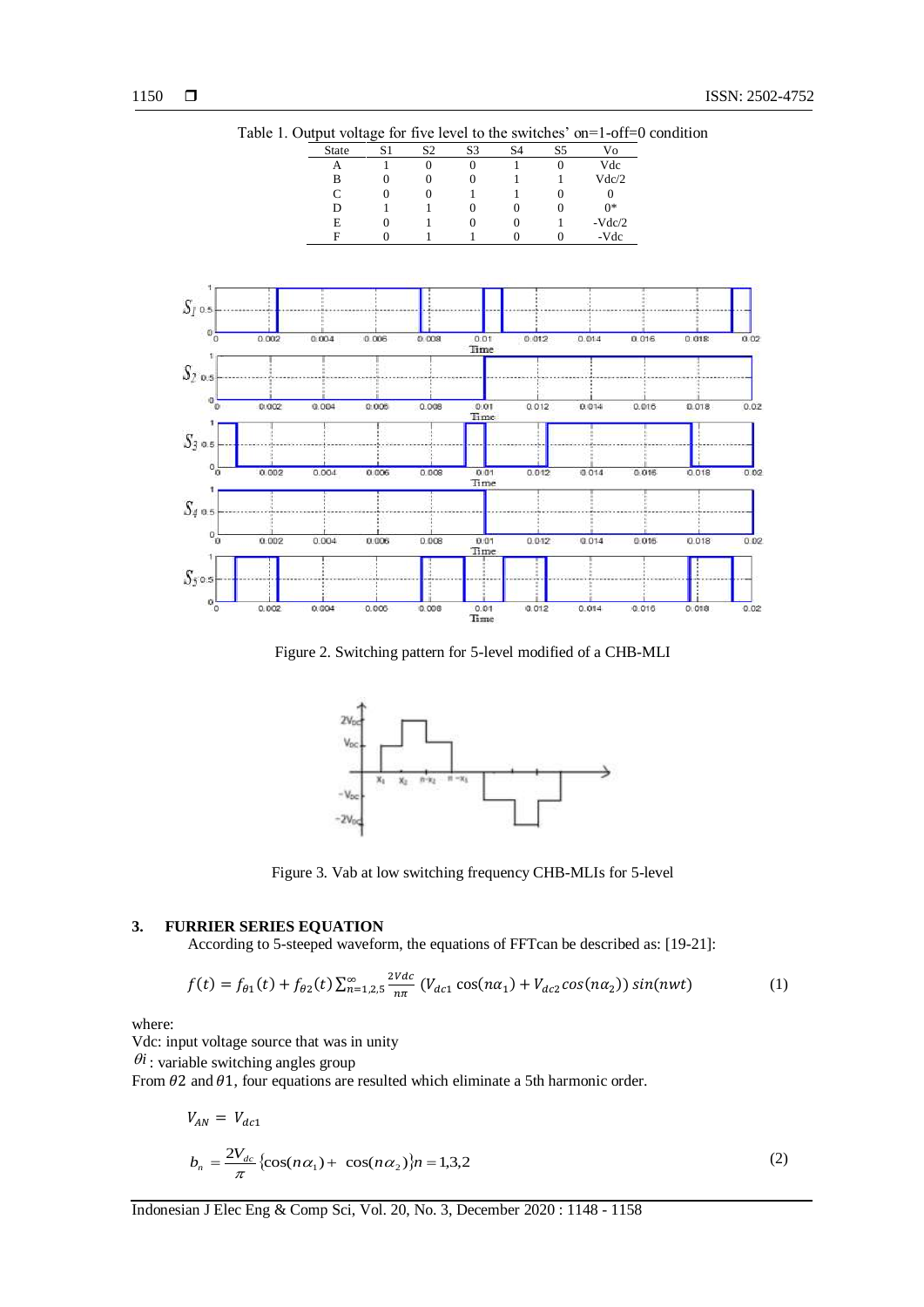

Table 1. Output voltage for five level to the switches' on=1-off=0 condition

Figure 2. Switching pattern for 5-level modified of a CHB-MLI



Figure 3. Vab at low switching frequency CHB-MLIs for 5-level

## **3. FURRIER SERIES EQUATION**

According to 5-steeped waveform, the equations of FFTcan be described as: [19-21]:

$$
f(t) = f_{\theta 1}(t) + f_{\theta 2}(t) \sum_{n=1,2,5}^{\infty} \frac{2Vdc}{n\pi} \left( V_{dc1} \cos(n\alpha_1) + V_{dc2} \cos(n\alpha_2) \right) \sin(nwt) \tag{1}
$$

where:

Vdc: input voltage source that was in unity

 $\theta$ *i*: variable switching angles group

From  $\theta$ 2 and  $\theta$ 1, four equations are resulted which eliminate a 5th harmonic order.

$$
V_{AN} = V_{dc1}
$$
  
\n
$$
b_n = \frac{2V_{dc}}{\pi} \{ \cos(n\alpha_1) + \cos(n\alpha_2) \} n = 1,3,2
$$
 (2)

Indonesian J Elec Eng & Comp Sci, Vol. 20, No. 3, December 2020 : 1148 - 1158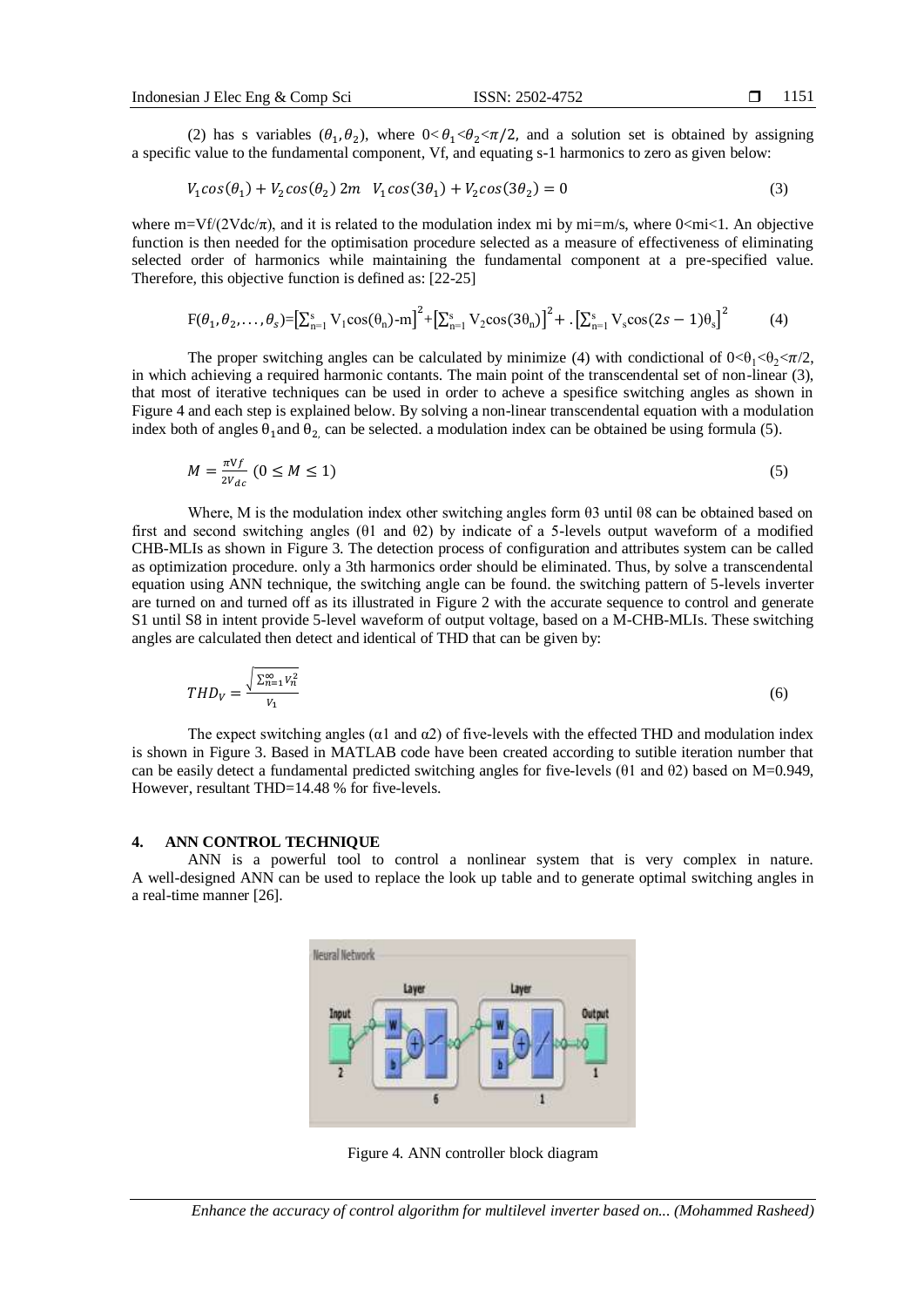(2) has s variables  $(\theta_1, \theta_2)$ , where  $0 < \theta_1 < \theta_2 < \pi/2$ , and a solution set is obtained by assigning a specific value to the fundamental component, Vf, and equating s-1 harmonics to zero as given below:

$$
V_1 \cos(\theta_1) + V_2 \cos(\theta_2) 2m \quad V_1 \cos(3\theta_1) + V_2 \cos(3\theta_2) = 0 \tag{3}
$$

where  $m=Vf/(2Vdc/\pi)$ , and it is related to the modulation index mi by mi=m/s, where 0<mi<1. An objective function is then needed for the optimisation procedure selected as a measure of effectiveness of eliminating selected order of harmonics while maintaining the fundamental component at a pre-specified value. Therefore, this objective function is defined as: [22-25]

$$
F(\theta_1, \theta_2, \dots, \theta_s) = \left[\sum_{n=1}^s V_1 \cos(\theta_n) - m\right]^2 + \left[\sum_{n=1}^s V_2 \cos(3\theta_n)\right]^2 + \left[\sum_{n=1}^s V_s \cos(2s - 1)\theta_s\right]^2\tag{4}
$$

The proper switching angles can be calculated by minimize (4) with condictional of  $0<\theta_1<\theta_2<\pi/2$ , in which achieving a required harmonic contants. The main point of the transcendental set of non-linear (3), that most of iterative techniques can be used in order to acheve a spesifice switching angles as shown in Figure 4 and each step is explained below. By solving a non-linear transcendental equation with a modulation index both of angles  $\theta_1$ and  $\theta_2$ , can be selected. a modulation index can be obtained be using formula (5).

$$
M = \frac{\pi V f}{2V_{dc}} \left( 0 \le M \le 1 \right) \tag{5}
$$

Where, M is the modulation index other switching angles form θ3 until θ8 can be obtained based on first and second switching angles (θ1 and θ2) by indicate of a 5-levels output waveform of a modified CHB-MLIs as shown in Figure 3. The detection process of configuration and attributes system can be called as optimization procedure. only a 3th harmonics order should be eliminated. Thus, by solve a transcendental equation using ANN technique, the switching angle can be found. the switching pattern of 5-levels inverter are turned on and turned off as its illustrated in Figure 2 with the accurate sequence to control and generate S1 until S8 in intent provide 5-level waveform of output voltage, based on a M-CHB-MLIs. These switching angles are calculated then detect and identical of THD that can be given by:

$$
THD_V = \frac{\sqrt{\sum_{n=1}^{\infty} V_n^2}}{V_1} \tag{6}
$$

The expect switching angles ( $\alpha$ 1 and  $\alpha$ 2) of five-levels with the effected THD and modulation index is shown in Figure 3. Based in MATLAB code have been created according to sutible iteration number that can be easily detect a fundamental predicted switching angles for five-levels (θ1 and θ2) based on M=0.949, However, resultant THD=14.48 % for five-levels.

#### **4. ANN CONTROL TECHNIQUE**

ANN is a powerful tool to control a nonlinear system that is very complex in nature. A well-designed ANN can be used to replace the look up table and to generate optimal switching angles in a real-time manner [26].



Figure 4. ANN controller block diagram

*Enhance the accuracy of control algorithm for multilevel inverter based on... (Mohammed Rasheed)*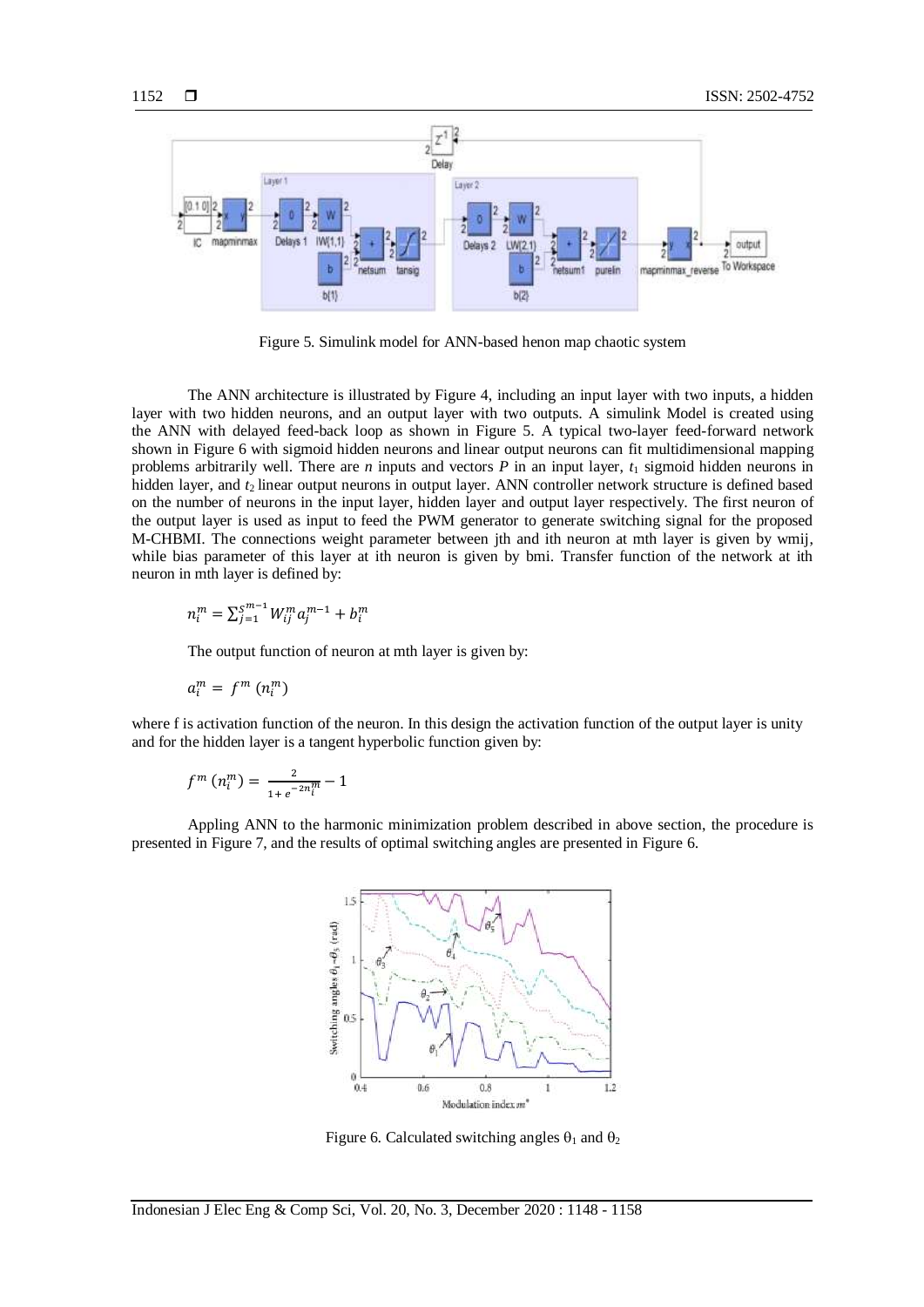

Figure 5. Simulink model for ANN-based henon map chaotic system

The ANN architecture is illustrated by Figure 4, including an input layer with two inputs, a hidden layer with two hidden neurons, and an output layer with two outputs. A simulink Model is created using the ANN with delayed feed-back loop as shown in Figure 5. A typical two-layer feed-forward network shown in Figure 6 with sigmoid hidden neurons and linear output neurons can fit multidimensional mapping problems arbitrarily well. There are *n* inputs and vectors *P* in an input layer,  $t_1$  sigmoid hidden neurons in hidden layer, and *t*<sub>2</sub> linear output neurons in output layer. ANN controller network structure is defined based on the number of neurons in the input layer, hidden layer and output layer respectively. The first neuron of the output layer is used as input to feed the PWM generator to generate switching signal for the proposed M-CHBMI. The connections weight parameter between jth and ith neuron at mth layer is given by wmij, while bias parameter of this layer at ith neuron is given by bmi. Transfer function of the network at ith neuron in mth layer is defined by:

$$
n_i^m = \sum_{j=1}^{S^{m-1}} W_{ij}^m a_j^{m-1} + b_i^m
$$

The output function of neuron at mth layer is given by:

$$
a_i^m = f^m \left( n_i^m \right)
$$

where f is activation function of the neuron. In this design the activation function of the output layer is unity and for the hidden layer is a tangent hyperbolic function given by:

$$
f^{m} (n_{i}^{m}) = \frac{2}{1 + e^{-2n_{i}^{m}}} - 1
$$

Appling ANN to the harmonic minimization problem described in above section, the procedure is presented in Figure 7, and the results of optimal switching angles are presented in Figure 6.



Figure 6. Calculated switching angles  $\theta_1$  and  $\theta_2$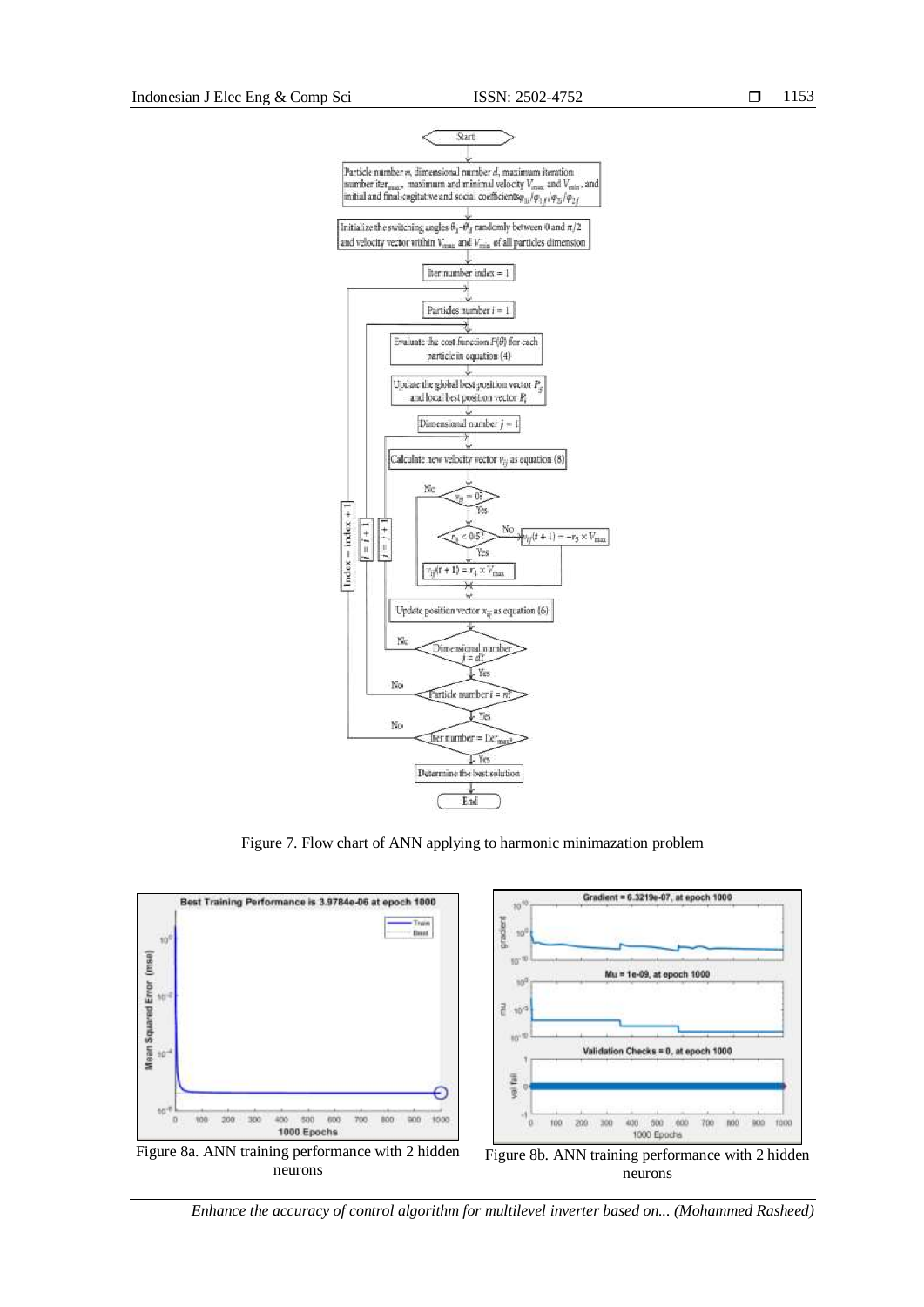

Figure 7. Flow chart of ANN applying to harmonic minimazation problem



*Enhance the accuracy of control algorithm for multilevel inverter based on... (Mohammed Rasheed)*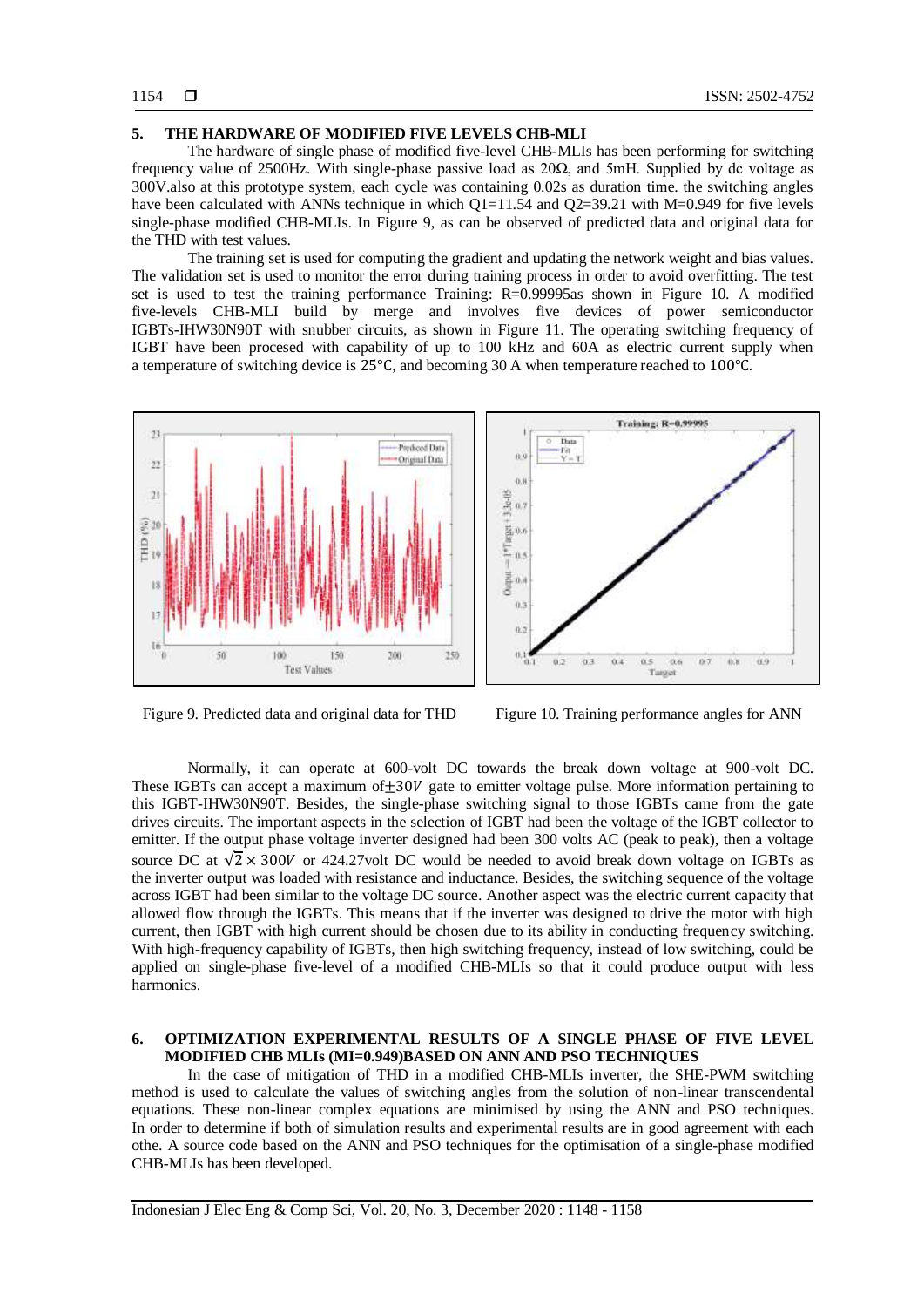#### **5. THE HARDWARE OF MODIFIED FIVE LEVELS CHB-MLI**

The hardware of single phase of modified five-level CHB-MLIs has been performing for switching frequency value of 2500Hz. With single-phase passive load as 20Ω, and 5mH. Supplied by dc voltage as 300V.also at this prototype system, each cycle was containing 0.02s as duration time. the switching angles have been calculated with ANNs technique in which  $O1=11.54$  and  $O2=39.21$  with M=0.949 for five levels single-phase modified CHB-MLIs. In Figure 9, as can be observed of predicted data and original data for the THD with test values.

The training set is used for computing the gradient and updating the network weight and bias values. The validation set is used to monitor the error during training process in order to avoid overfitting. The test set is used to test the training performance Training: R=0.99995as shown in Figure 10. A modified five-levels CHB-MLI build by merge and involves five devices of power semiconductor IGBTs-IHW30N90T with snubber circuits, as shown in Figure 11. The operating switching frequency of IGBT have been procesed with capability of up to 100 kHz and 60A as electric current supply when a temperature of switching device is 25°C, and becoming 30 A when temperature reached to 100°C.





Figure 9. Predicted data and original data for THD Figure 10. Training performance angles for ANN

Normally, it can operate at 600-volt DC towards the break down voltage at 900-volt DC. These IGBTs can accept a maximum of  $\pm 30V$  gate to emitter voltage pulse. More information pertaining to this IGBT-IHW30N90T. Besides, the single-phase switching signal to those IGBTs came from the gate drives circuits. The important aspects in the selection of IGBT had been the voltage of the IGBT collector to emitter. If the output phase voltage inverter designed had been 300 volts AC (peak to peak), then a voltage source DC at  $\sqrt{2} \times 300V$  or 424.27volt DC would be needed to avoid break down voltage on IGBTs as the inverter output was loaded with resistance and inductance. Besides, the switching sequence of the voltage across IGBT had been similar to the voltage DC source. Another aspect was the electric current capacity that allowed flow through the IGBTs. This means that if the inverter was designed to drive the motor with high current, then IGBT with high current should be chosen due to its ability in conducting frequency switching. With high-frequency capability of IGBTs, then high switching frequency, instead of low switching, could be applied on single-phase five-level of a modified CHB-MLIs so that it could produce output with less harmonics.

## **6. OPTIMIZATION EXPERIMENTAL RESULTS OF A SINGLE PHASE OF FIVE LEVEL MODIFIED CHB MLIs (MI=0.949)BASED ON ANN AND PSO TECHNIQUES**

In the case of mitigation of THD in a modified CHB-MLIs inverter, the SHE-PWM switching method is used to calculate the values of switching angles from the solution of non-linear transcendental equations. These non-linear complex equations are minimised by using the ANN and PSO techniques. In order to determine if both of simulation results and experimental results are in good agreement with each othe. A source code based on the ANN and PSO techniques for the optimisation of a single-phase modified CHB-MLIs has been developed.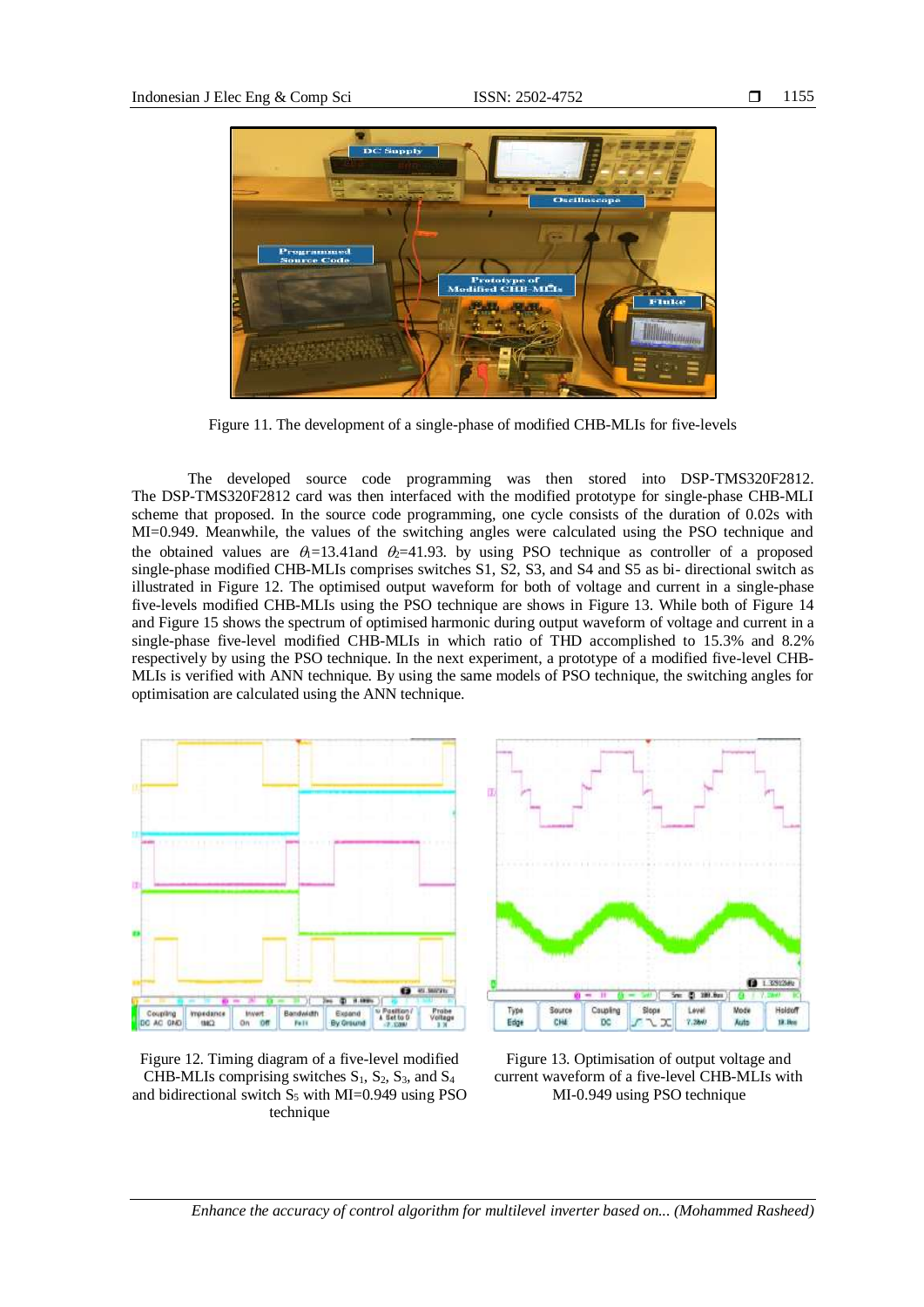

Figure 11. The development of a single-phase of modified CHB-MLIs for five-levels

The developed source code programming was then stored into DSP-TMS320F2812. The DSP-TMS320F2812 card was then interfaced with the modified prototype for single-phase CHB-MLI scheme that proposed. In the source code programming, one cycle consists of the duration of 0.02s with MI=0.949. Meanwhile, the values of the switching angles were calculated using the PSO technique and the obtained values are  $\theta_1$ =13.41and  $\theta_2$ =41.93. by using PSO technique as controller of a proposed single-phase modified CHB-MLIs comprises switches S1, S2, S3, and S4 and S5 as bi- directional switch as illustrated in Figure 12. The optimised output waveform for both of voltage and current in a single-phase five-levels modified CHB-MLIs using the PSO technique are shows in Figure 13. While both of Figure 14 and Figure 15 shows the spectrum of optimised harmonic during output waveform of voltage and current in a single-phase five-level modified CHB-MLIs in which ratio of THD accomplished to 15.3% and 8.2% respectively by using the PSO technique. In the next experiment, a prototype of a modified five-level CHB-MLIs is verified with ANN technique. By using the same models of PSO technique, the switching angles for optimisation are calculated using the ANN technique.



Figure 12. Timing diagram of a five-level modified CHB-MLIs comprising switches  $S_1$ ,  $S_2$ ,  $S_3$ , and  $S_4$ and bidirectional switch  $S_5$  with MI=0.949 using PSO technique



Figure 13. Optimisation of output voltage and current waveform of a five-level CHB-MLIs with MI-0.949 using PSO technique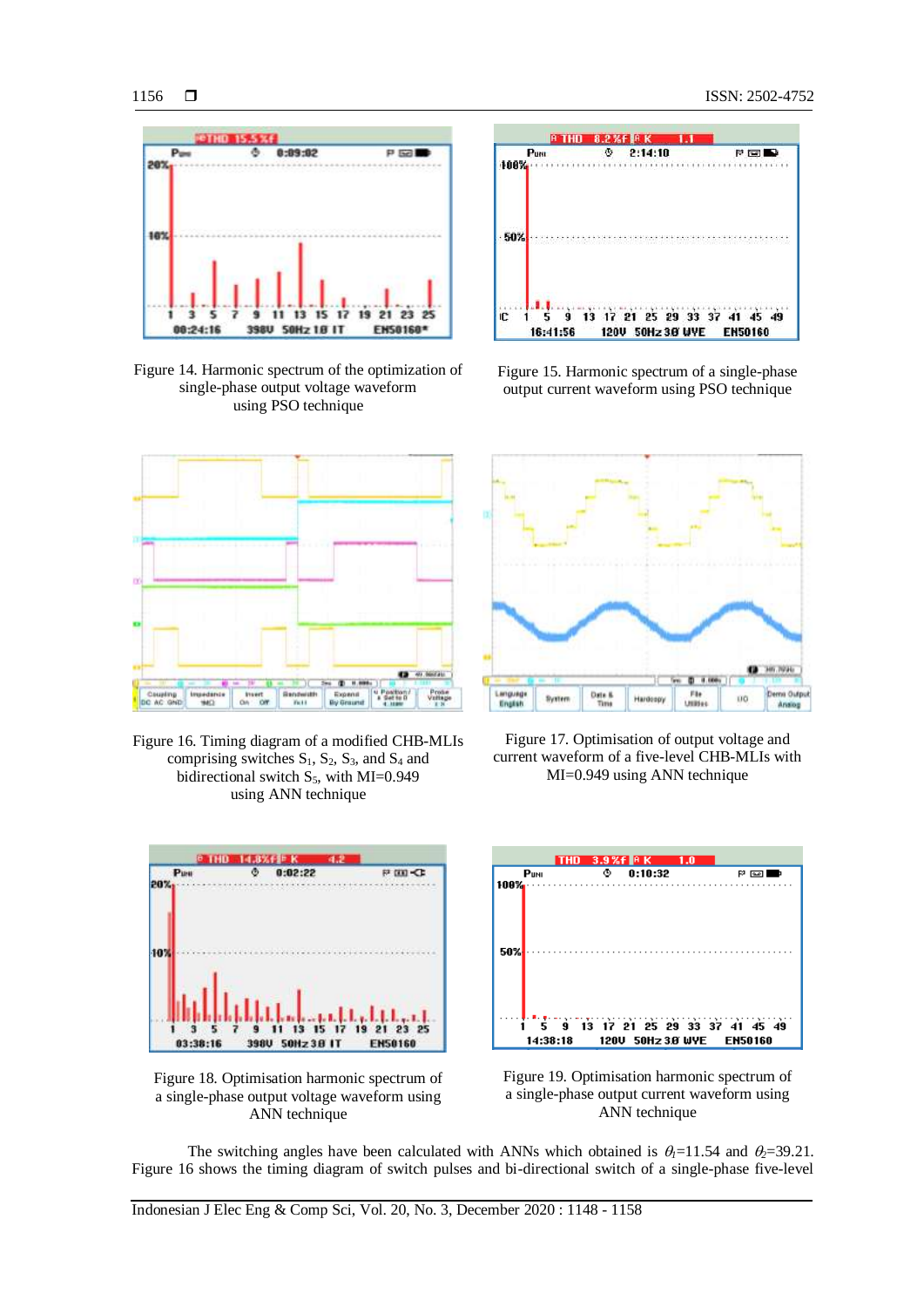

Figure 14. Harmonic spectrum of the optimization of single-phase output voltage waveform using PSO technique



Figure 16. Timing diagram of a modified CHB-MLIs comprising switches  $S_1$ ,  $S_2$ ,  $S_3$ , and  $S_4$  and bidirectional switch  $S_5$ , with MI=0.949 using ANN technique



Figure 18. Optimisation harmonic spectrum of a single-phase output voltage waveform using ANN technique



Figure 15. Harmonic spectrum of a single-phase output current waveform using PSO technique



Figure 17. Optimisation of output voltage and current waveform of a five-level CHB-MLIs with MI=0.949 using ANN technique





The switching angles have been calculated with ANNs which obtained is  $\theta_1=11.54$  and  $\theta_2=39.21$ . Figure 16 shows the timing diagram of switch pulses and bi-directional switch of a single-phase five-level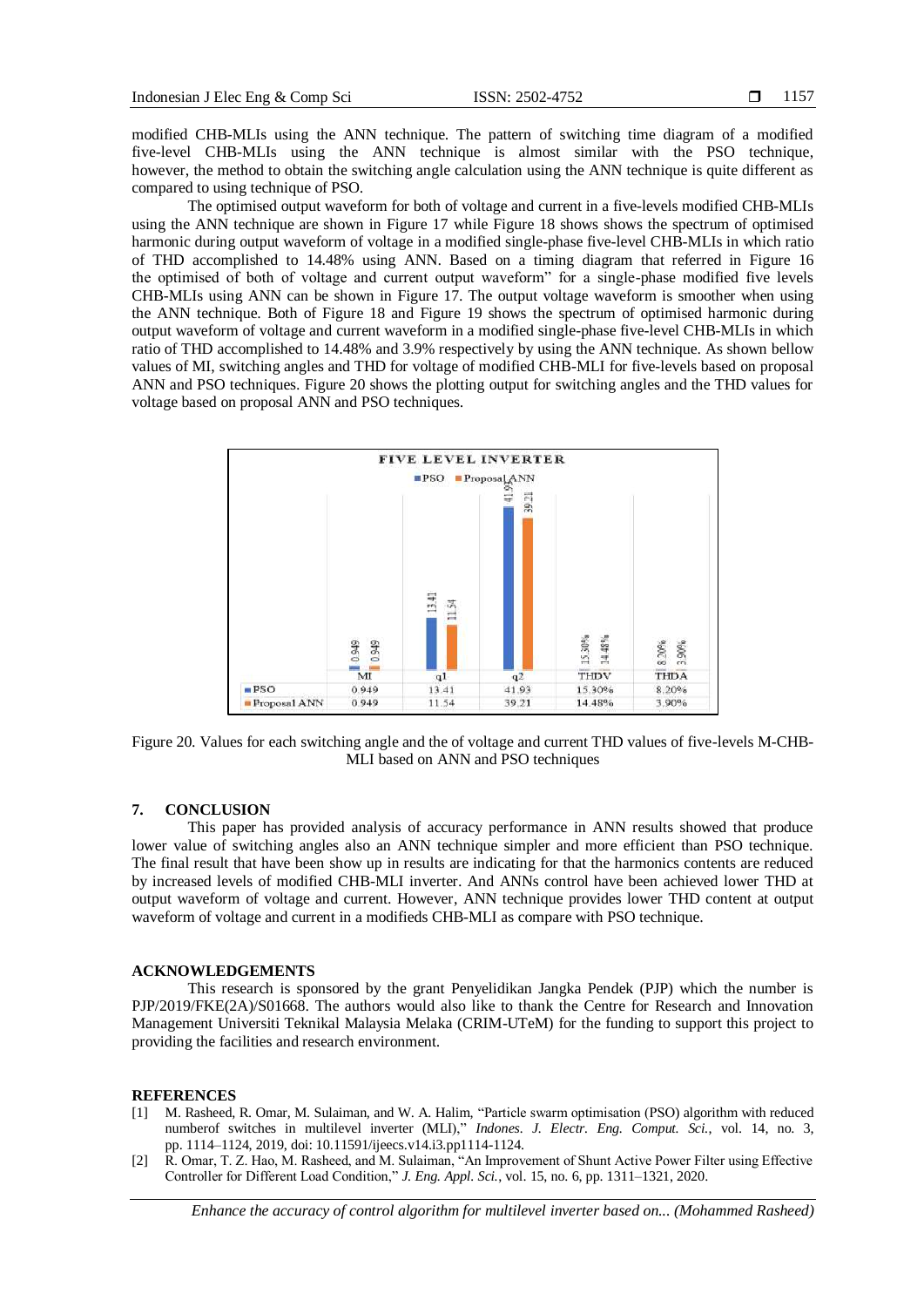modified CHB-MLIs using the ANN technique. The pattern of switching time diagram of a modified five-level CHB-MLIs using the ANN technique is almost similar with the PSO technique, however, the method to obtain the switching angle calculation using the ANN technique is quite different as compared to using technique of PSO.

The optimised output waveform for both of voltage and current in a five-levels modified CHB-MLIs using the ANN technique are shown in Figure 17 while Figure 18 shows shows the spectrum of optimised harmonic during output waveform of voltage in a modified single-phase five-level CHB-MLIs in which ratio of THD accomplished to 14.48% using ANN. Based on a timing diagram that referred in Figure 16 the optimised of both of voltage and current output waveform" for a single-phase modified five levels CHB-MLIs using ANN can be shown in Figure 17. The output voltage waveform is smoother when using the ANN technique. Both of Figure 18 and Figure 19 shows the spectrum of optimised harmonic during output waveform of voltage and current waveform in a modified single-phase five-level CHB-MLIs in which ratio of THD accomplished to 14.48% and 3.9% respectively by using the ANN technique. As shown bellow values of MI, switching angles and THD for voltage of modified CHB-MLI for five-levels based on proposal ANN and PSO techniques. Figure 20 shows the plotting output for switching angles and the THD values for voltage based on proposal ANN and PSO techniques.



Figure 20. Values for each switching angle and the of voltage and current THD values of five-levels M-CHB-MLI based on ANN and PSO techniques

#### **7. CONCLUSION**

This paper has provided analysis of accuracy performance in ANN results showed that produce lower value of switching angles also an ANN technique simpler and more efficient than PSO technique. The final result that have been show up in results are indicating for that the harmonics contents are reduced by increased levels of modified CHB-MLI inverter. And ANNs control have been achieved lower THD at output waveform of voltage and current. However, ANN technique provides lower THD content at output waveform of voltage and current in a modifieds CHB-MLI as compare with PSO technique.

#### **ACKNOWLEDGEMENTS**

This research is sponsored by the grant Penyelidikan Jangka Pendek (PJP) which the number is PJP/2019/FKE(2A)/S01668. The authors would also like to thank the Centre for Research and Innovation Management Universiti Teknikal Malaysia Melaka (CRIM-UTeM) for the funding to support this project to providing the facilities and research environment.

#### **REFERENCES**

- [1] M. Rasheed, R. Omar, M. Sulaiman, and W. A. Halim, "Particle swarm optimisation (PSO) algorithm with reduced numberof switches in multilevel inverter (MLI)," *Indones. J. Electr. Eng. Comput. Sci.*, vol. 14, no. 3, pp. 1114–1124, 2019, doi: 10.11591/ijeecs.v14.i3.pp1114-1124.
- [2] R. Omar, T. Z. Hao, M. Rasheed, and M. Sulaiman, "An Improvement of Shunt Active Power Filter using Effective Controller for Different Load Condition," *J. Eng. Appl. Sci.*, vol. 15, no. 6, pp. 1311–1321, 2020.